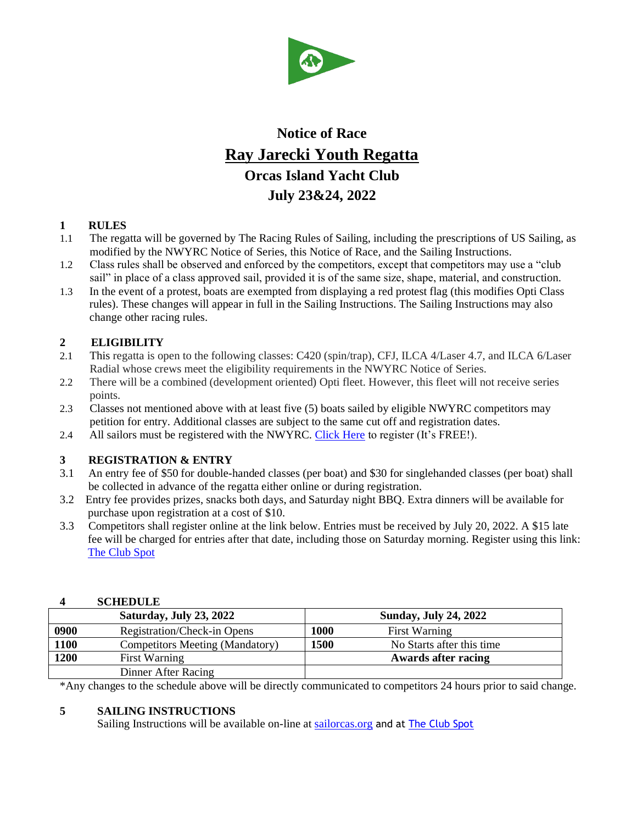

# **Notice of Race Ray Jarecki Youth Regatta Orcas Island Yacht Club July 23&24, 2022**

# **1 RULES**

- 1.1 The regatta will be governed by The Racing Rules of Sailing, including the prescriptions of US Sailing, as modified by the NWYRC Notice of Series, this Notice of Race, and the Sailing Instructions.
- 1.2 Class rules shall be observed and enforced by the competitors, except that competitors may use a "club sail" in place of a class approved sail, provided it is of the same size, shape, material, and construction.
- 1.3 In the event of a protest, boats are exempted from displaying a red protest flag (this modifies Opti Class rules). These changes will appear in full in the Sailing Instructions. The Sailing Instructions may also change other racing rules.

# **2 ELIGIBILITY**

- 2.1 This regatta is open to the following classes: C420 (spin/trap), CFJ, ILCA 4/Laser 4.7, and ILCA 6/Laser Radial whose crews meet the eligibility requirements in the NWYRC Notice of Series.
- 2.2 There will be a combined (development oriented) Opti fleet. However, this fleet will not receive series points.
- 2.3 Classes not mentioned above with at least five (5) boats sailed by eligible NWYRC competitors may petition for entry. Additional classes are subject to the same cut off and registration dates.
- 2.4 All sailors must be registered with the NWYRC. [Click Here](https://docs.google.com/forms/d/e/1FAIpQLSeA0hfrAHs8LXspmQGohd8SjpZd_sJXbhijSI_zo1y15H57xw/viewform) to register (It's FREE!).

# **3 REGISTRATION & ENTRY**

- 3.1 An entry fee of \$50 for double-handed classes (per boat) and \$30 for singlehanded classes (per boat) shall be collected in advance of the regatta either online or during registration.
- 3.2 Entry fee provides prizes, snacks both days, and Saturday night BBQ. Extra dinners will be available for purchase upon registration at a cost of \$10.
- 3.3 Competitors shall register online at the link below. Entries must be received by July 20, 2022. A \$15 late fee will be charged for entries after that date, including those on Saturday morning. Register using this link: [The Club Spot](https://theclubspot.com/regatta/lifGeLBc6m)

#### **4 SCHEDULE**

|      | Saturday, July 23, 2022         |      | <b>Sunday, July 24, 2022</b> |
|------|---------------------------------|------|------------------------------|
| 0900 | Registration/Check-in Opens     | 1000 | First Warning                |
| 1100 | Competitors Meeting (Mandatory) | 1500 | No Starts after this time    |
| 1200 | <b>First Warning</b>            |      | <b>Awards after racing</b>   |
|      | Dinner After Racing             |      |                              |

\*Any changes to the schedule above will be directly communicated to competitors 24 hours prior to said change.

# **5 SAILING INSTRUCTIONS**

Sailing Instructions will be available on-line at [sailorcas.org](http://sailorcas.org/) and at [The Club Spot](https://theclubspot.com/regatta/lifGeLBc6m)